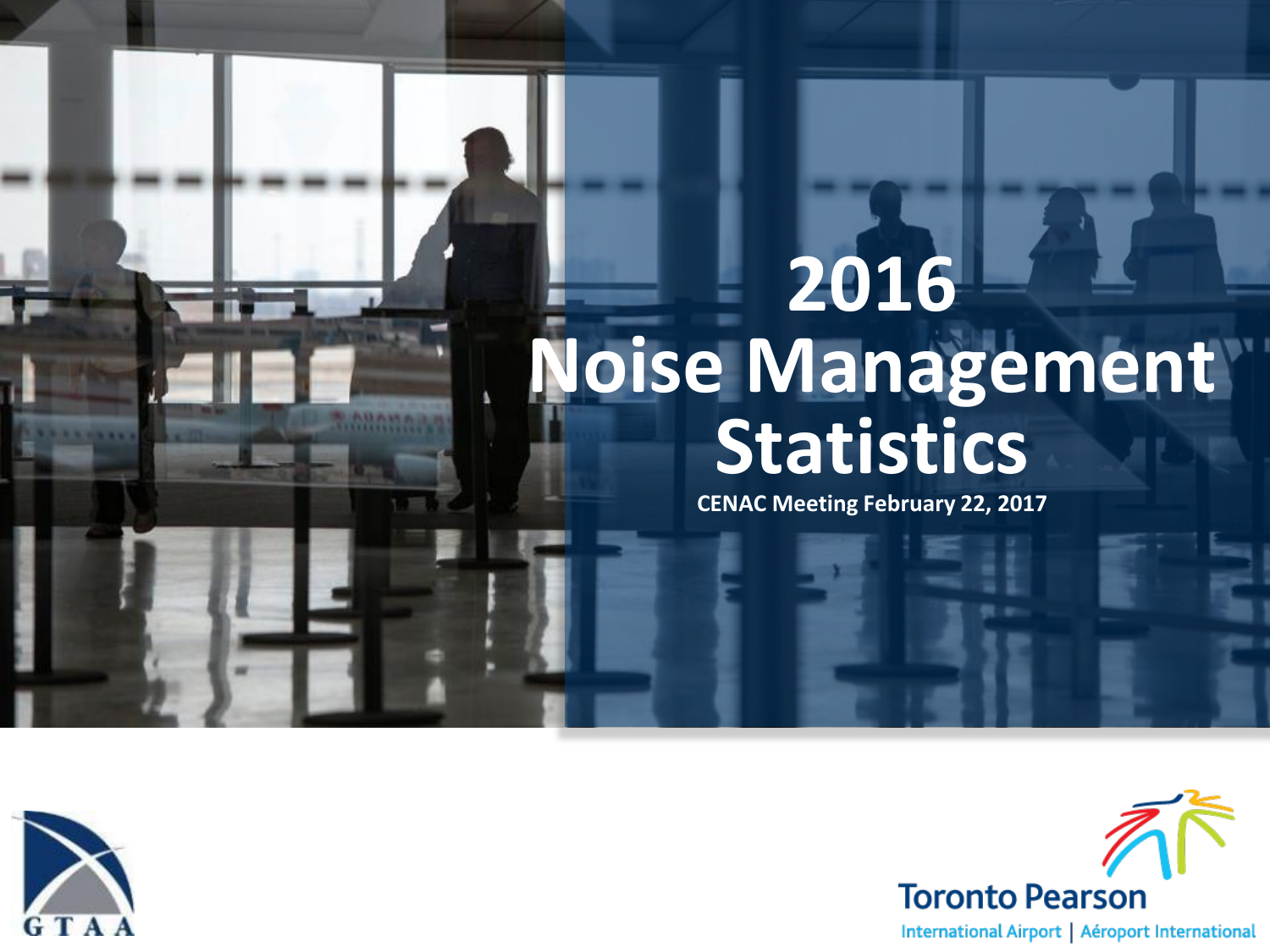# **2016 [Noise Management](http://www.thomaidis.com/gtaaextras/content/index_2.html)  Statistics**

**CENAC Meeting February 22, 2017**



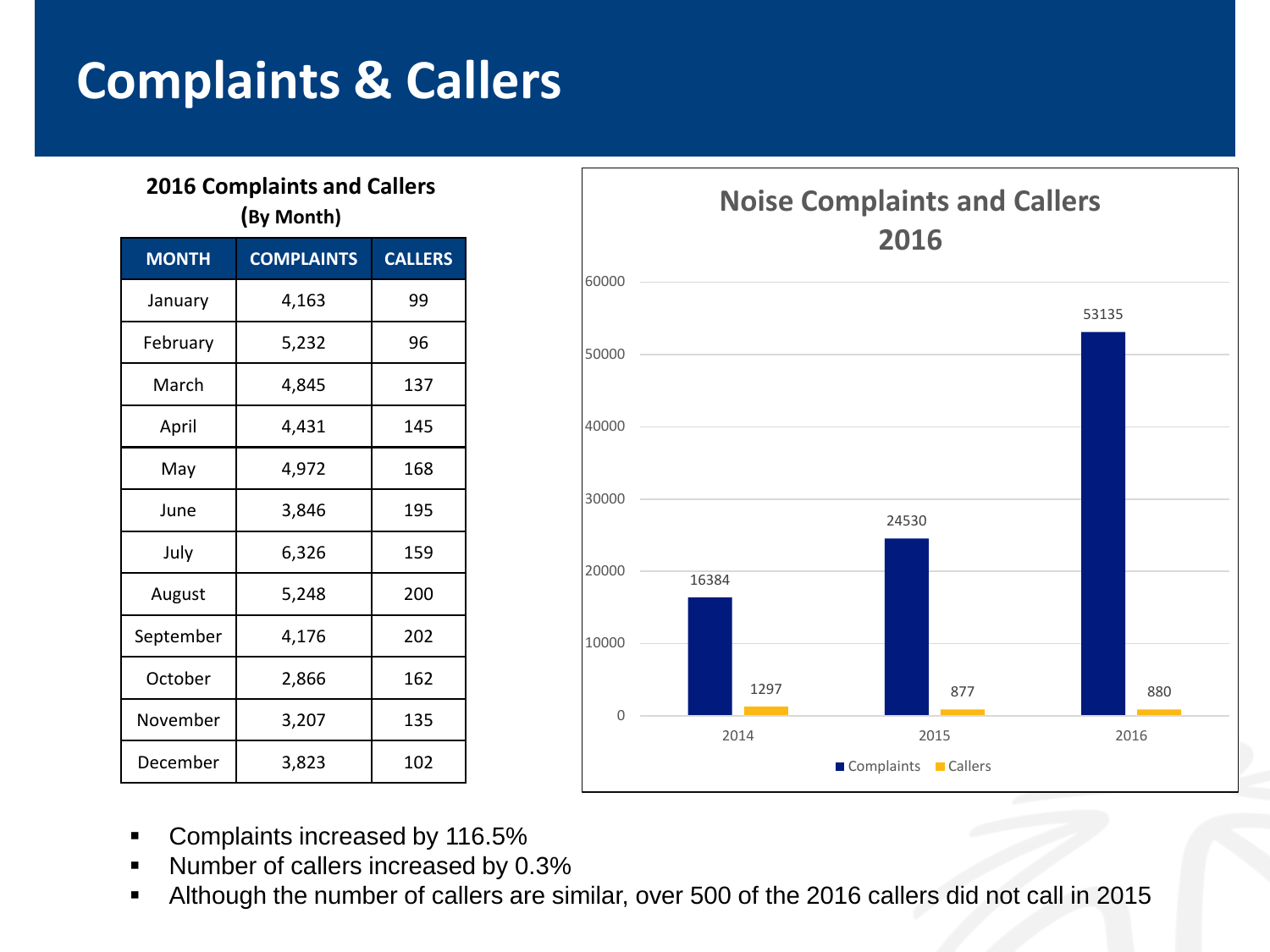### **Complaints & Callers**

#### **2016 Complaints and Callers (By Month)**

| <b>MONTH</b> | <b>COMPLAINTS</b> | <b>CALLERS</b> |
|--------------|-------------------|----------------|
| January      | 4,163             | 99             |
| February     | 5,232             | 96             |
| March        | 4,845             | 137            |
| April        | 4,431             | 145            |
| May          | 4,972             | 168            |
| June         | 3,846             | 195            |
| July         | 6,326             | 159            |
| August       | 5,248             | 200            |
| September    | 4,176             | 202            |
| October      | 2,866             | 162            |
| November     | 3,207             | 135            |
| December     | 3,823             | 102            |



- **Complaints increased by 116.5%**
- Number of callers increased by 0.3%
- Although the number of callers are similar, over 500 of the 2016 callers did not call in 2015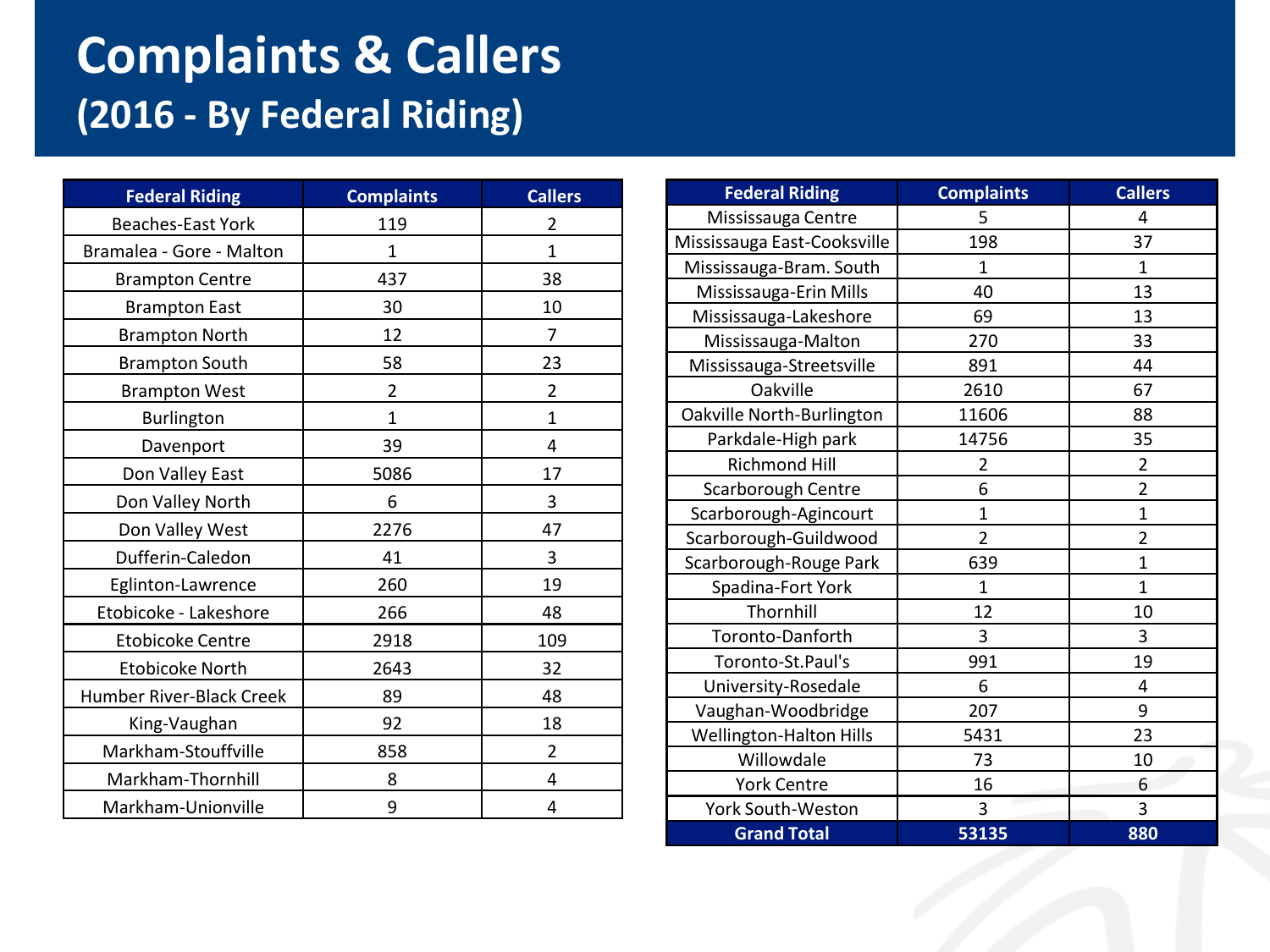### **Complaints & Callers (2016 - By Federal Riding)**

| <b>Federal Riding</b>    | <b>Complaints</b> | <b>Callers</b> |
|--------------------------|-------------------|----------------|
| <b>Beaches-East York</b> | 119               | $\overline{2}$ |
| Bramalea - Gore - Malton | $\mathbf{1}$      | $\mathbf{1}$   |
| <b>Brampton Centre</b>   | 437               | 38             |
| <b>Brampton East</b>     | 30                | 10             |
| <b>Brampton North</b>    | 12                | $\overline{7}$ |
| <b>Brampton South</b>    | 58                | 23             |
| <b>Brampton West</b>     | $\overline{2}$    | $\overline{2}$ |
| Burlington               | $\mathbf{1}$      | $\mathbf{1}$   |
| Davenport                | 39                | 4              |
| Don Valley East          | 5086              | 17             |
| Don Valley North         | 6                 | 3              |
| Don Valley West          | 2276              | 47             |
| Dufferin-Caledon         | 41                | 3              |
| Eglinton-Lawrence        | 260               | 19             |
| Etobicoke - Lakeshore    | 266               | 48             |
| <b>Etobicoke Centre</b>  | 2918              | 109            |
| <b>Etobicoke North</b>   | 2643              | 32             |
| Humber River-Black Creek | 89                | 48             |
| King-Vaughan             | 92                | 18             |
| Markham-Stouffville      | 858               | 2              |
| Markham-Thornhill        | 8                 | 4              |
| Markham-Unionville       | 9                 | 4              |

| <b>Federal Riding</b>       | <b>Complaints</b> | <b>Callers</b>          |
|-----------------------------|-------------------|-------------------------|
| Mississauga Centre          | 5                 | 4                       |
| Mississauga East-Cooksville | 198               | 37                      |
| Mississauga-Bram. South     | 1                 | 1                       |
| Mississauga-Erin Mills      | 40                | 13                      |
| Mississauga-Lakeshore       | 69                | 13                      |
| Mississauga-Malton          | 270               | 33                      |
| Mississauga-Streetsville    | 891               | 44                      |
| Oakville                    | 2610              | 67                      |
| Oakville North-Burlington   | 11606             | 88                      |
| Parkdale-High park          | 14756             | 35                      |
| <b>Richmond Hill</b>        | 2                 | $\overline{\mathbf{c}}$ |
| Scarborough Centre          | 6                 | $\overline{2}$          |
| Scarborough-Agincourt       | $\mathbf{1}$      | $\overline{1}$          |
| Scarborough-Guildwood       | $\overline{2}$    | $\overline{2}$          |
| Scarborough-Rouge Park      | 639               | $\overline{1}$          |
| Spadina-Fort York           | $\mathbf{1}$      | $\overline{1}$          |
| Thornhill                   | 12                | 10                      |
| Toronto-Danforth            | 3                 | 3                       |
| Toronto-St.Paul's           | 991               | 19                      |
| University-Rosedale         | 6                 | 4                       |
| Vaughan-Woodbridge          | 207               | 9                       |
| Wellington-Halton Hills     | 5431              | 23                      |
| Willowdale                  | 73                | 10                      |
| <b>York Centre</b>          | 16                | 6                       |
| York South-Weston           | 3                 | 3                       |
| <b>Grand Total</b>          | 53135             | 880                     |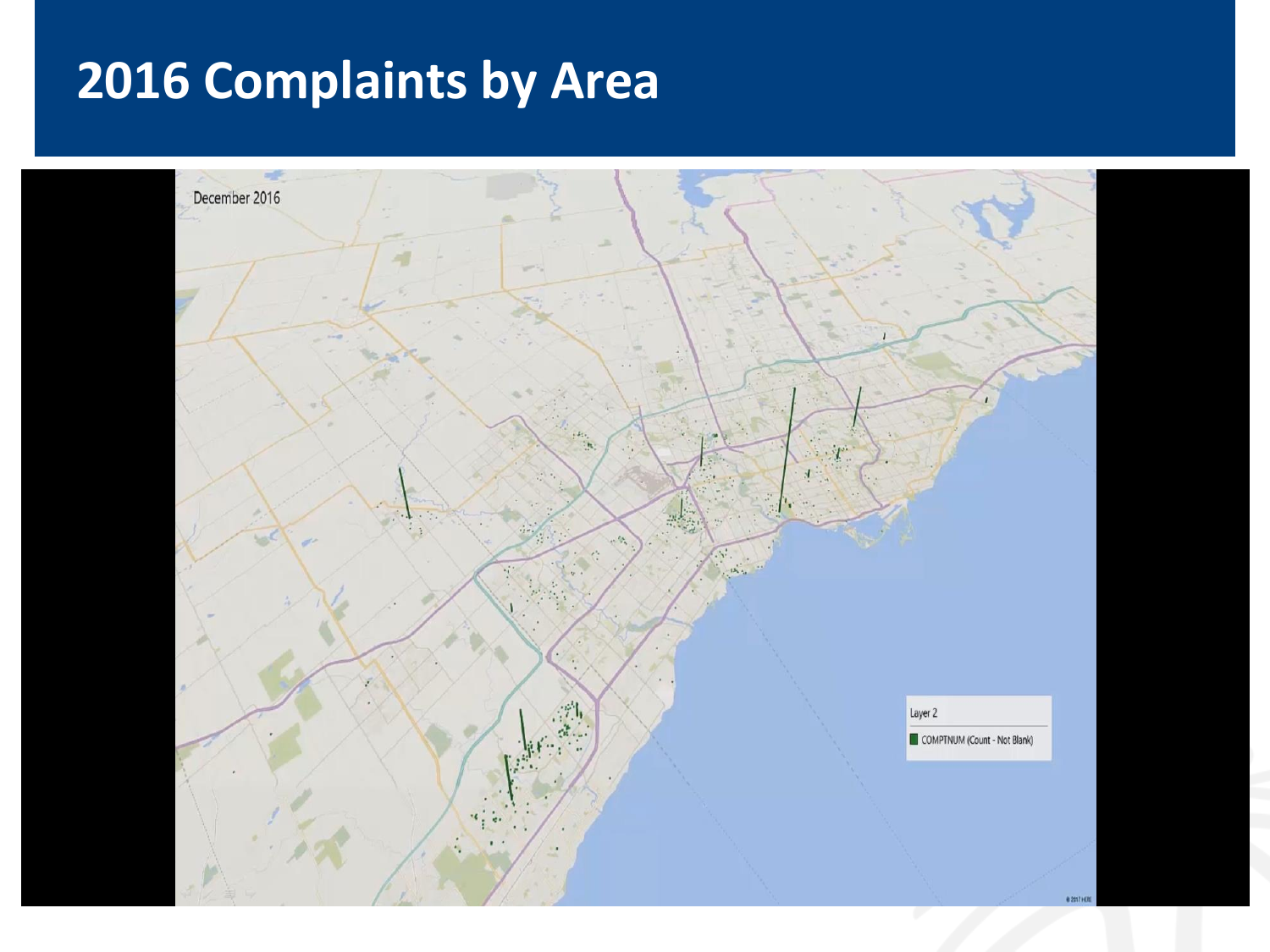# **2016 Complaints by Area**

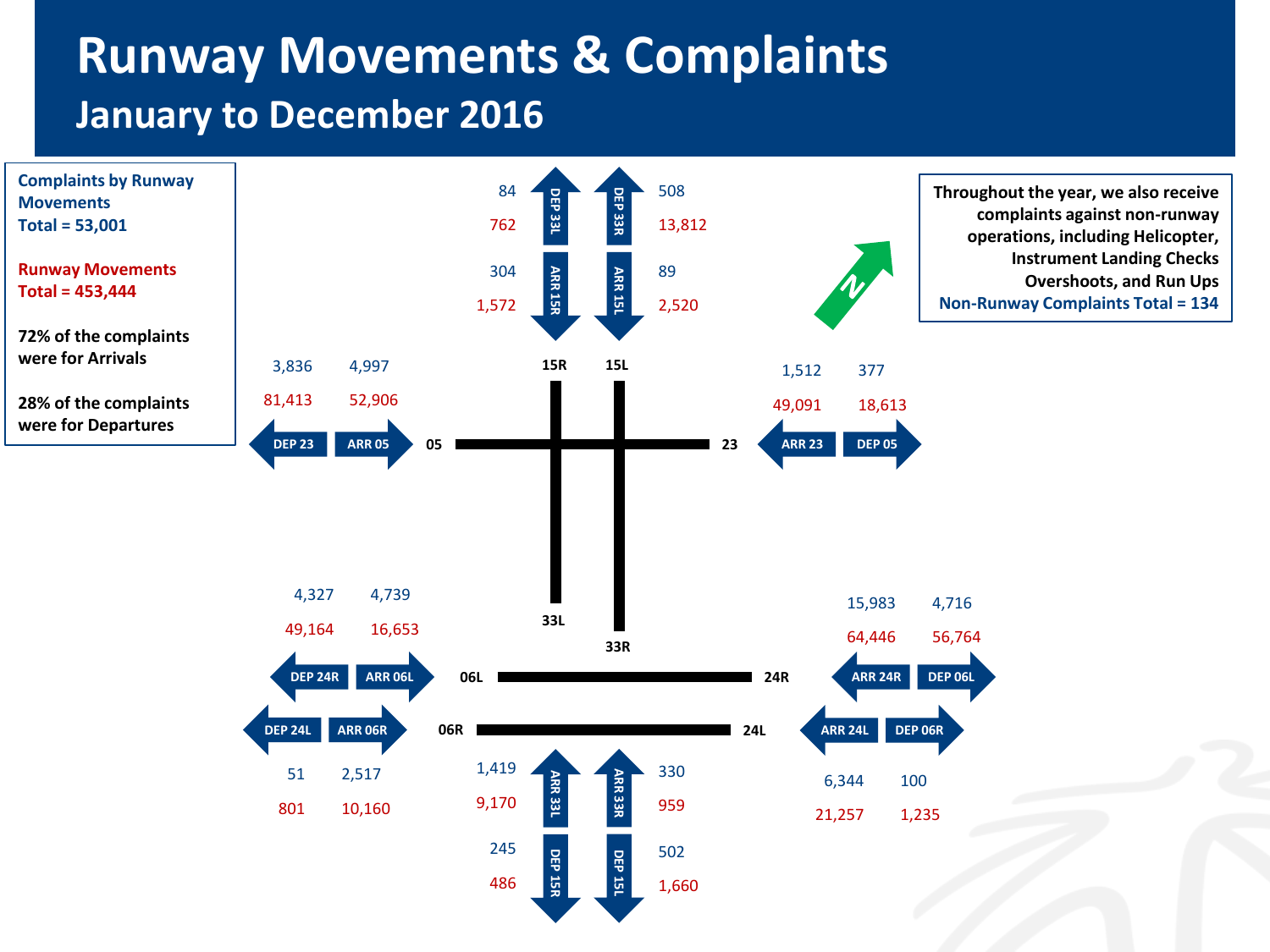### **Runway Movements & Complaints January to December 2016**

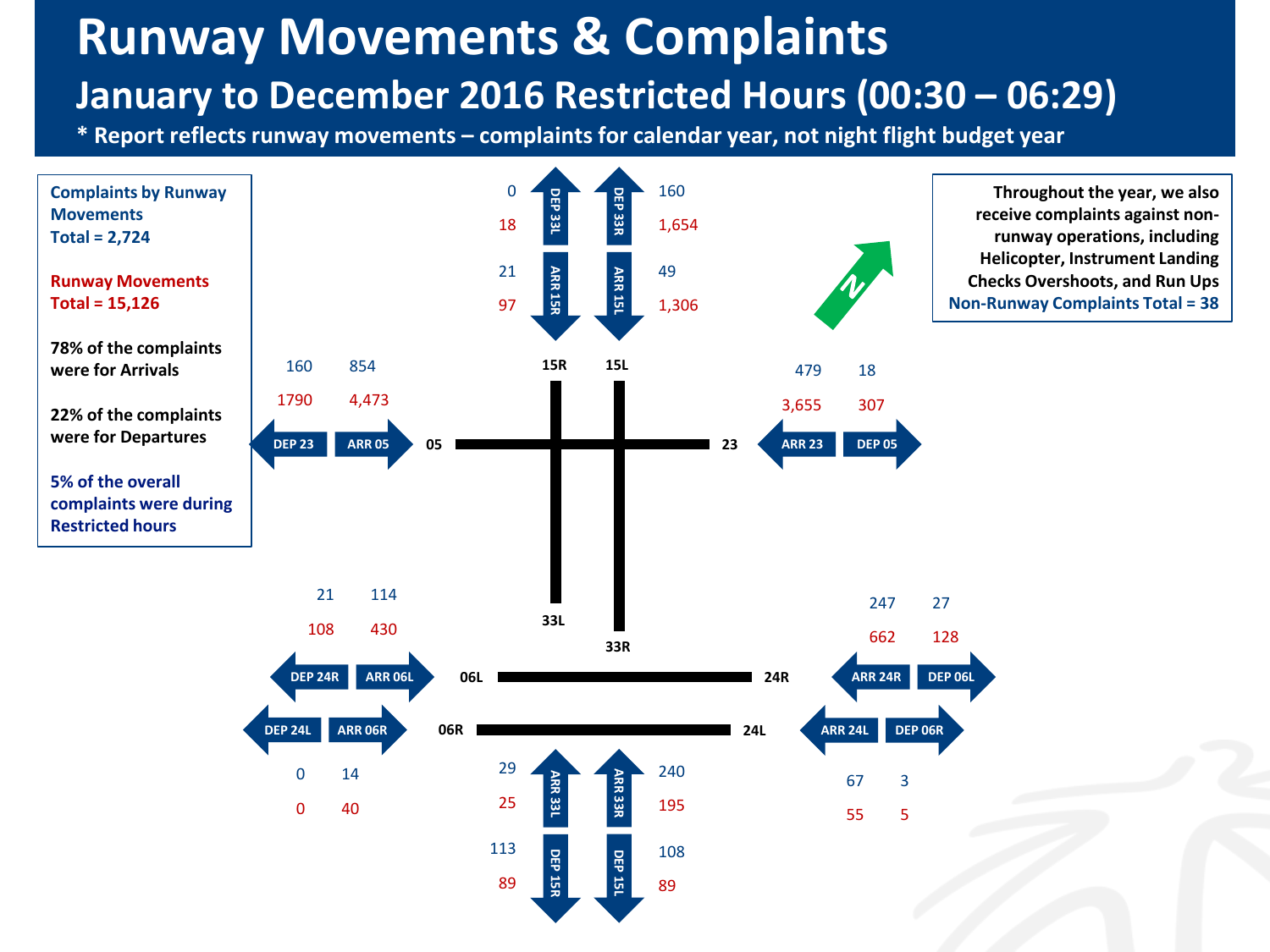### **Runway Movements & Complaints January to December 2016 Restricted Hours (00:30 – 06:29)**

**\* Report reflects runway movements – complaints for calendar year, not night flight budget year**

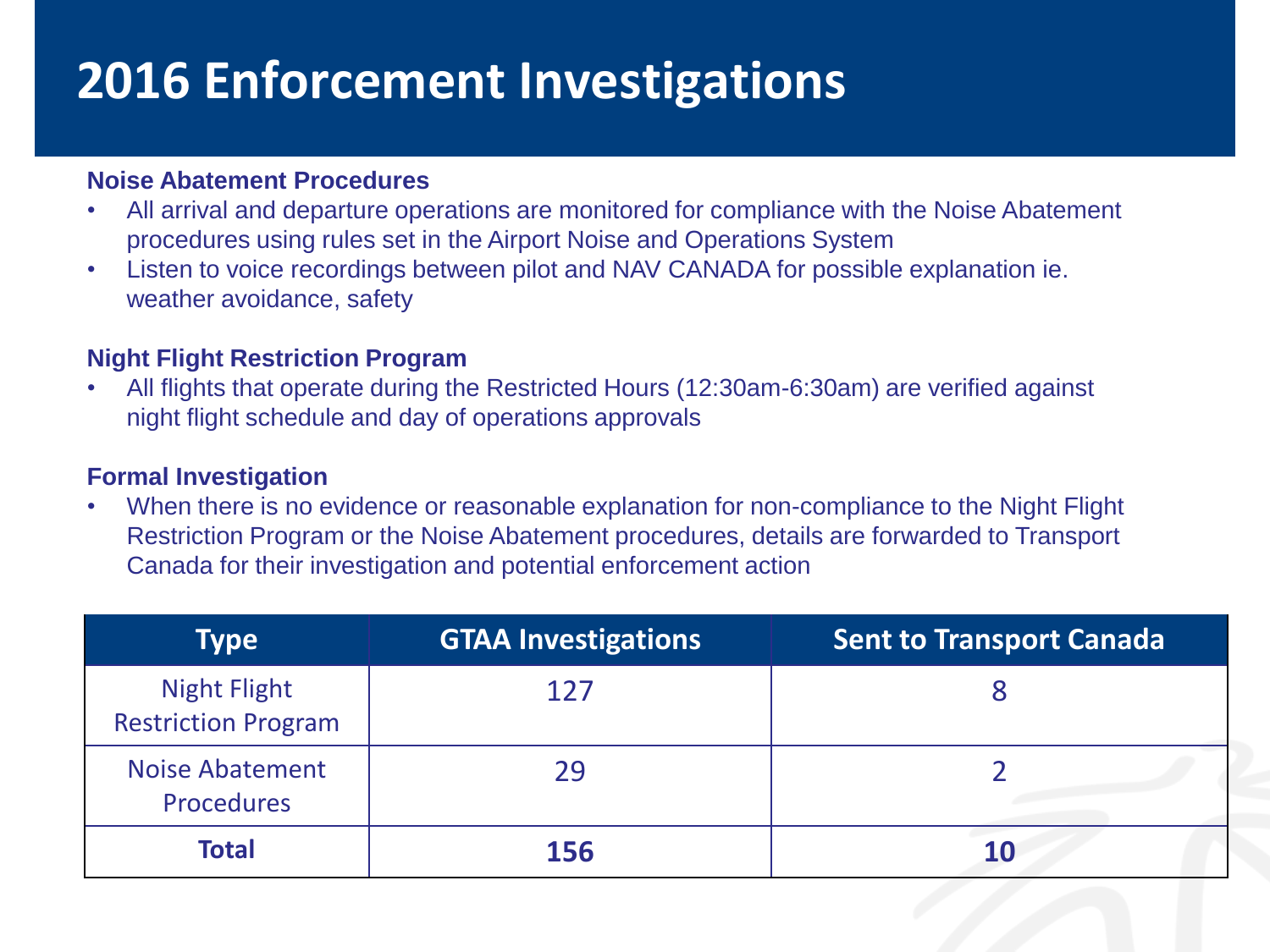# **2016 Enforcement Investigations**

#### **Noise Abatement Procedures**

- All arrival and departure operations are monitored for compliance with the Noise Abatement procedures using rules set in the Airport Noise and Operations System
- Listen to voice recordings between pilot and NAV CANADA for possible explanation ie. weather avoidance, safety

#### **Night Flight Restriction Program**

• All flights that operate during the Restricted Hours (12:30am-6:30am) are verified against night flight schedule and day of operations approvals

#### **Formal Investigation**

• When there is no evidence or reasonable explanation for non-compliance to the Night Flight Restriction Program or the Noise Abatement procedures, details are forwarded to Transport Canada for their investigation and potential enforcement action

| <b>Type</b>                                       | <b>GTAA Investigations</b> | <b>Sent to Transport Canada</b> |
|---------------------------------------------------|----------------------------|---------------------------------|
| <b>Night Flight</b><br><b>Restriction Program</b> | 127                        |                                 |
| <b>Noise Abatement</b><br><b>Procedures</b>       | 29                         |                                 |
| <b>Total</b>                                      | <b>156</b>                 |                                 |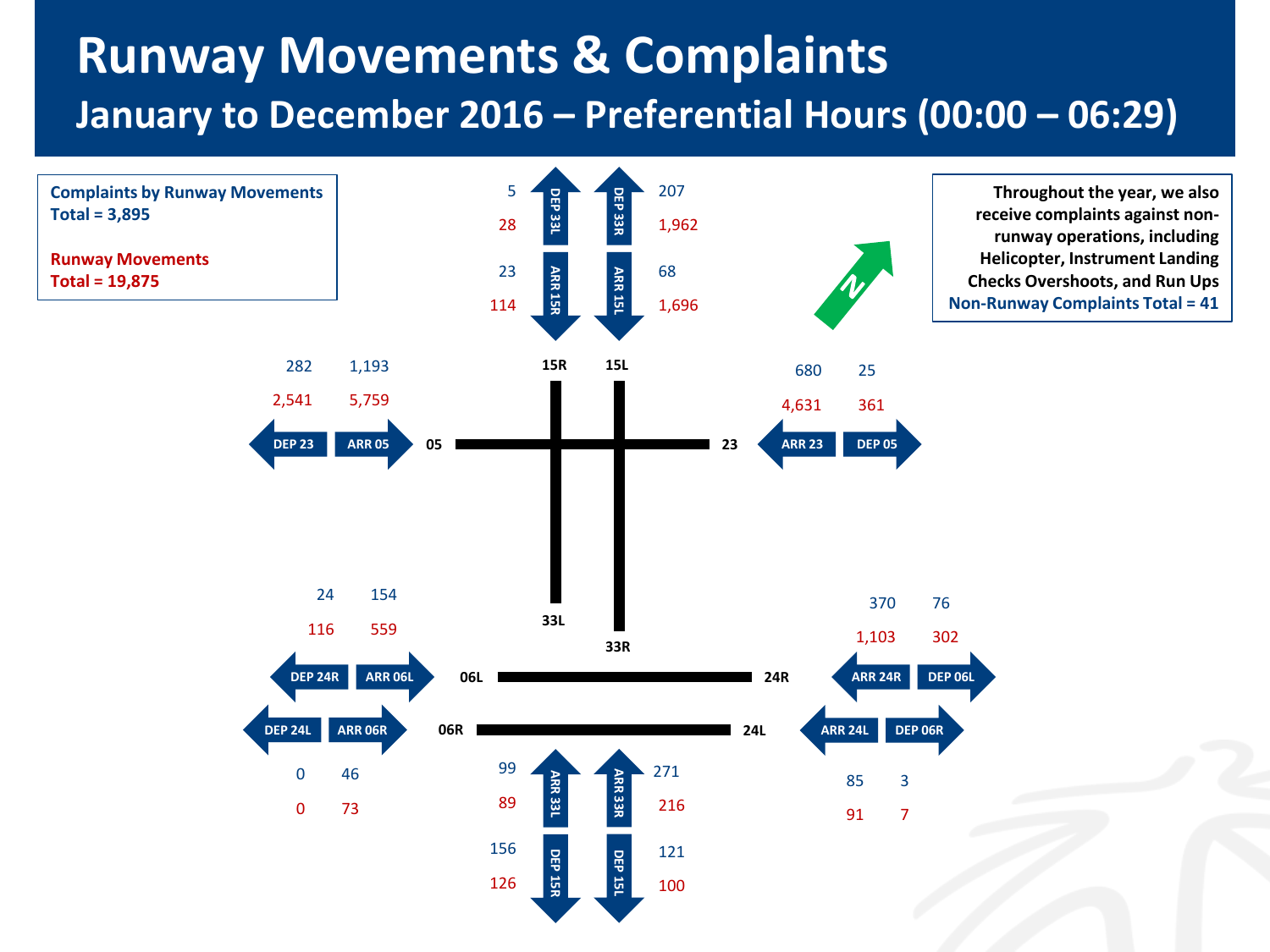### **Runway Movements & Complaints January to December 2016 – Preferential Hours (00:00 – 06:29)**